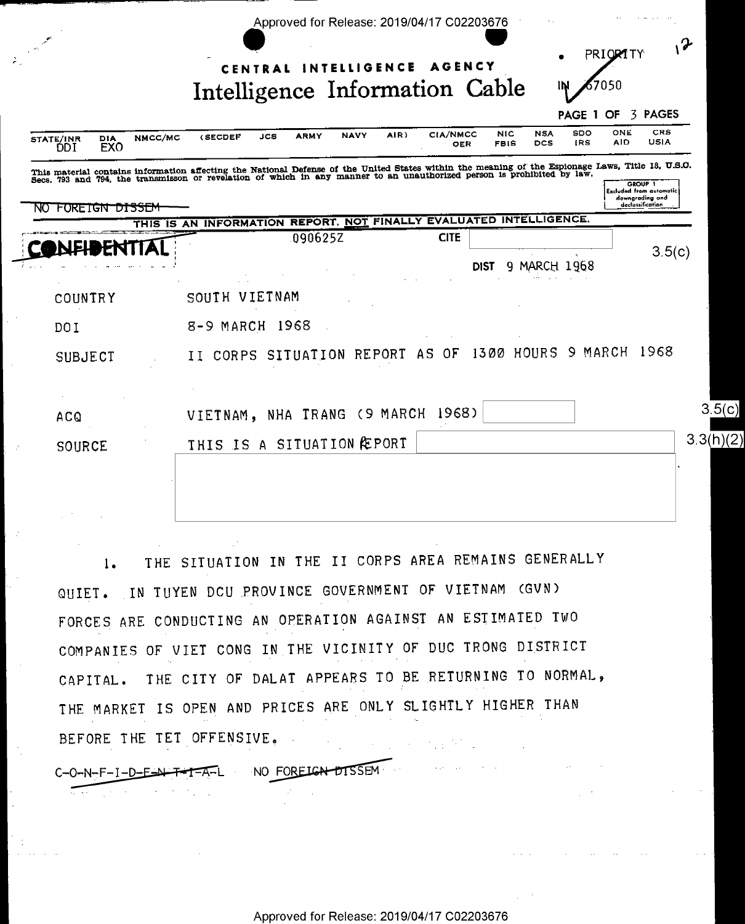| NMCC/MC<br>DIA<br><b>STATE/INR</b><br><b>EXO</b><br>DDI | <b>NAVY</b><br><b>ARMY</b><br>JCS<br><b>(SECDEF</b>                                                                                                                                                                               | CIA/NMCC<br>AIR)<br>OER | N <sub>1</sub> C<br><b>FBIS</b> | <b>PAGE 1 OF</b><br>SDO<br><b>NSA</b><br><b>IRS</b><br><b>DCS</b> | <b>3 PAGES</b><br>CRS<br>ONE<br>USIA<br>AID |
|---------------------------------------------------------|-----------------------------------------------------------------------------------------------------------------------------------------------------------------------------------------------------------------------------------|-------------------------|---------------------------------|-------------------------------------------------------------------|---------------------------------------------|
|                                                         | This material contains information affecting the National Defense of the United States within the meaning of the Espionage Laws, Title 18, U.S.O.<br>Secs. 793 and 794, the transmisson or revelation of which in any manner to a |                         |                                 |                                                                   | GROUP 1<br><b>Excluded from automatic</b>   |
| NO FOREIGN DISSEM                                       |                                                                                                                                                                                                                                   |                         |                                 |                                                                   | downgrading and<br>acclassification         |
|                                                         | THIS IS AN INFORMATION REPORT, NOT FINALLY EVALUATED INTELLIGENCE.<br>090625Z                                                                                                                                                     | <b>CITE</b>             |                                 |                                                                   |                                             |
|                                                         |                                                                                                                                                                                                                                   |                         |                                 |                                                                   | 3.5(c)                                      |
|                                                         |                                                                                                                                                                                                                                   |                         | dist                            | 9 MARCH 1968                                                      |                                             |
| COUNTRY                                                 | SOUTH VIETNAM                                                                                                                                                                                                                     |                         |                                 |                                                                   |                                             |
| DO I                                                    | 8-9 MARCH 1968                                                                                                                                                                                                                    |                         |                                 |                                                                   |                                             |
| SUBJECT                                                 | CORPS SITUATION REPORT AS OF<br>II                                                                                                                                                                                                |                         |                                 |                                                                   | 1300 HOURS 9 MARCH 1968                     |
|                                                         |                                                                                                                                                                                                                                   |                         |                                 |                                                                   |                                             |
|                                                         |                                                                                                                                                                                                                                   |                         |                                 |                                                                   |                                             |
|                                                         |                                                                                                                                                                                                                                   |                         |                                 |                                                                   |                                             |
| <b>ACQ</b>                                              | VIETNAM, NHA TRANG (9 MARCH                                                                                                                                                                                                       | 1968)                   |                                 |                                                                   |                                             |
| SOURCE                                                  | THIS IS A SITUATION PEORT                                                                                                                                                                                                         |                         |                                 |                                                                   | 3.3(h)(2)                                   |
|                                                         |                                                                                                                                                                                                                                   |                         |                                 |                                                                   |                                             |
|                                                         |                                                                                                                                                                                                                                   |                         |                                 |                                                                   |                                             |
|                                                         |                                                                                                                                                                                                                                   |                         |                                 |                                                                   |                                             |
|                                                         |                                                                                                                                                                                                                                   |                         |                                 |                                                                   |                                             |
| $l_{\bullet}$                                           | THE SITUATION IN THE II CORPS AREA REMAINS GENERALLY                                                                                                                                                                              |                         |                                 |                                                                   |                                             |
|                                                         |                                                                                                                                                                                                                                   |                         |                                 |                                                                   |                                             |
|                                                         | QUIET. IN TUYEN DCU PROVINCE GOVERNMENT OF VIETNAM (GVN)                                                                                                                                                                          |                         |                                 |                                                                   |                                             |
|                                                         | FORCES ARE CONDUCTING AN OPERATION AGAINST AN ESTIMATED TWO                                                                                                                                                                       |                         |                                 |                                                                   |                                             |
|                                                         | COMPANIES OF VIET CONG IN THE VICINITY OF DUC TRONG DISTRICT                                                                                                                                                                      |                         |                                 |                                                                   |                                             |
|                                                         |                                                                                                                                                                                                                                   |                         |                                 |                                                                   |                                             |
|                                                         | CAPITAL. THE CITY OF DALAT APPEARS TO BE RETURNING TO NORMAL,<br>THE MARKET IS OPEN AND PRICES ARE ONLY SLIGHTLY HIGHER THAN                                                                                                      |                         |                                 |                                                                   |                                             |

BEFORE THE TET OFFENSIVE.

 $\frac{1}{2}$ 

 $C-O-N-F-I-D-E-N+F-T-A-L$  NO FOREIGN DISSEM

 $\sim 10^{11}$ 

 $\sim$ 

 $\mathcal{L}_{\mathrm{eff}}$  ,  $\mathcal{L}_{\mathrm{eff}}$ 

 $\mathcal{O}(\mathcal{A})$  and  $\mathcal{O}(\mathcal{A})$  . The contribution of the contribution of  $\mathcal{O}(\mathcal{A})$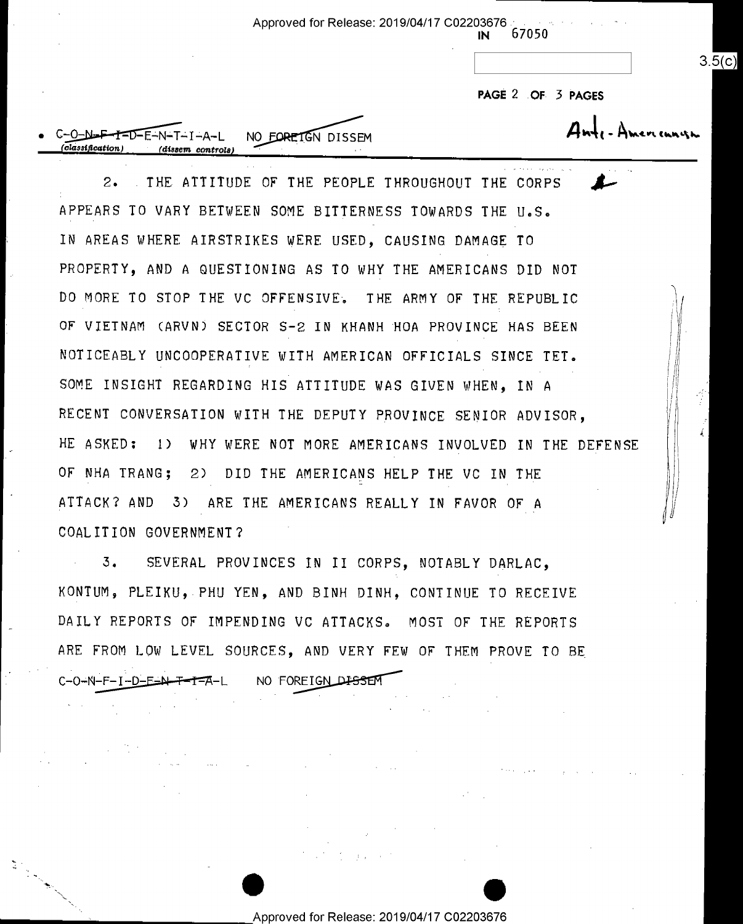Approved for Release: 2019/04/17 C02203676

67050 IN

PAGE 2 OF 3 PAGES

 $3.5(c)$ 

NO FORETGN DISSEM -D-E-N-T-I-A-L (dissem controls)

THE ATTITUDE OF THE PEOPLE THROUGHOUT THE CORPS  $2\cdot$ APPEARS TO VARY BETWEEN SOME BITTERNESS TOWARDS THE U.S. IN AREAS WHERE AIRSTRIKES WERE USED, CAUSING DAMAGE TO PROPERTY, AND A QUESTIONING AS TO WHY THE AMERICANS DID NOT DO MORE TO STOP THE VC OFFENSIVE. THE ARMY OF THE REPUBLIC OF VIETNAM (ARVN) SECTOR S-2 IN KHANH HOA PROVINCE HAS BEEN NOTICEABLY UNCOOPERATIVE WITH AMERICAN OFFICIALS SINCE TET. SOME INSIGHT REGARDING HIS ATTITUDE WAS GIVEN WHEN, IN A RECENT CONVERSATION WITH THE DEPUTY PROVINCE SENIOR ADVISOR. HE ASKED: 1) WHY WERE NOT MORE AMERICANS INVOLVED IN THE DEFENSE OF NHA TRANG; 2) DID THE AMERICANS HELP THE VC IN THE ATTACK? AND 3) ARE THE AMERICANS REALLY IN FAVOR OF A COALITION GOVERNMENT?

 $3.$ SEVERAL PROVINCES IN II CORPS, NOTABLY DARLAC, KONTUM, PLEIKU, PHU YEN, AND BINH DINH, CONTINUE TO RECEIVE DAILY REPORTS OF IMPENDING VC ATTACKS. MOST OF THE REPORTS ARE FROM LOW LEVEL SOURCES, AND VERY FEW OF THEM PROVE TO BE C-0-N-F-I-D-E-N-T-T-A-L NO FOREIGN DISSEN